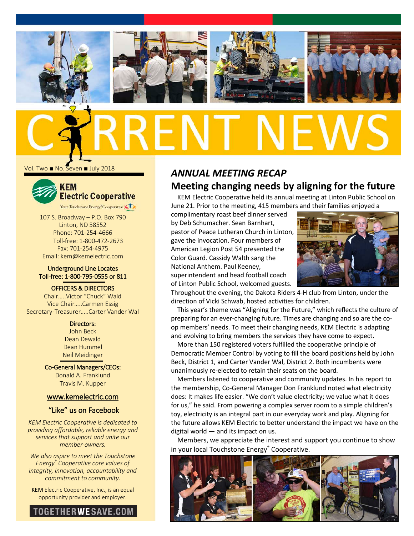

Vol. Two ■ No. Seven ■ July 2018



107 S. Broadway – P.O. Box 790 Linton, ND 58552

Phone: 701-254-4666 Toll-free: 1-800-472-2673 Fax: 701-254-4975 Email: kem@kemelectric.com

#### Underground Line Locates Toll-free: 1-800-795-0555 or 811

OFFICERS & DIRECTORS

Chair…..Victor "Chuck" Wald Vice Chair…..Carmen Essig Secretary-Treasurer…..Carter Vander Wal

> Directors: John Beck Dean Dewald Dean Hummel

Neil Meidinger Co-General Managers/CEOs: Donald A. Franklund

Travis M. Kupper

#### [www.kemelectric.com](http://www.kemelectric.com/)

#### "Like" us on Facebook

*KEM Electric Cooperative is dedicated to providing affordable, reliable energy and services that support and unite our member-owners.*

*We also aspire to meet the Touchstone Energy® Cooperative core values of integrity, innovation, accountability and commitment to community.*

KEM Electric Cooperative, Inc., is an equal opportunity provider and employer.



# *ANNUAL MEETING RECAP* **Meeting changing needs by aligning for the future**

KEM Electric Cooperative held its annual meeting at Linton Public School on June 21. Prior to the meeting, 415 members and their families enjoyed a

complimentary roast beef dinner served by Deb Schumacher. Sean Barnhart, pastor of Peace Lutheran Church in Linton, gave the invocation. Four members of American Legion Post 54 presented the Color Guard. Cassidy Walth sang the National Anthem. Paul Keeney, superintendent and head football coach of Linton Public School, welcomed guests.



Throughout the evening, the Dakota Riders 4-H club from Linton, under the direction of Vicki Schwab, hosted activities for children.

This year's theme was "Aligning for the Future," which reflects the culture of preparing for an ever-changing future. Times are changing and so are the coop members' needs. To meet their changing needs, KEM Electric is adapting and evolving to bring members the services they have come to expect.

More than 150 registered voters fulfilled the cooperative principle of Democratic Member Control by voting to fill the board positions held by John Beck, District 1, and Carter Vander Wal, District 2. Both incumbents were unanimously re-elected to retain their seats on the board.

Members listened to cooperative and community updates. In his report to the membership, Co-General Manager Don Franklund noted what electricity does: It makes life easier. "We don't value electricity; we value what it does for us," he said. From powering a complex server room to a simple children's toy, electricity is an integral part in our everyday work and play. Aligning for the future allows KEM Electric to better understand the impact we have on the digital world — and its impact on us.

Members, we appreciate the interest and support you continue to show in your local Touchstone Energy® Cooperative.